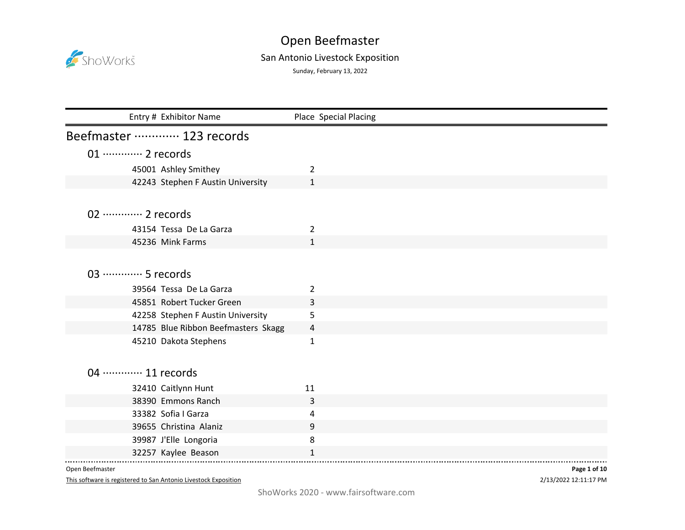

## Open Beefmaster San Antonio Livestock Exposition

Sunday, February 13, 2022

| Entry # Exhibitor Name              | Place Special Placing |
|-------------------------------------|-----------------------|
| Beefmaster ………… 123 records         |                       |
| 01 ············· 2 records          |                       |
| 45001 Ashley Smithey                | 2                     |
| 42243 Stephen F Austin University   | 1                     |
|                                     |                       |
|                                     |                       |
| 02 ············· 2 records          |                       |
| 43154 Tessa De La Garza             | 2                     |
| 45236 Mink Farms                    | $\mathbf{1}$          |
|                                     |                       |
| 03 ………… 5 records                   |                       |
| 39564 Tessa De La Garza             | 2                     |
| 45851 Robert Tucker Green           | 3                     |
| 42258 Stephen F Austin University   | 5                     |
| 14785 Blue Ribbon Beefmasters Skagg | 4                     |
| 45210 Dakota Stephens               | 1                     |
|                                     |                       |
|                                     |                       |
| 04 ············· 11 records         |                       |
| 32410 Caitlynn Hunt                 | 11                    |
| 38390 Emmons Ranch                  | 3                     |
| 33382 Sofia I Garza                 | 4                     |
| 39655 Christina Alaniz              | 9                     |
| 39987 J'Elle Longoria               | 8                     |
| 32257 Kaylee Beason                 | $\mathbf{1}$          |

Open Beefmaster

This software is registered to San Antonio Livestock Exposition

2/13/2022 12:11:17 PM **Page 1 of 10**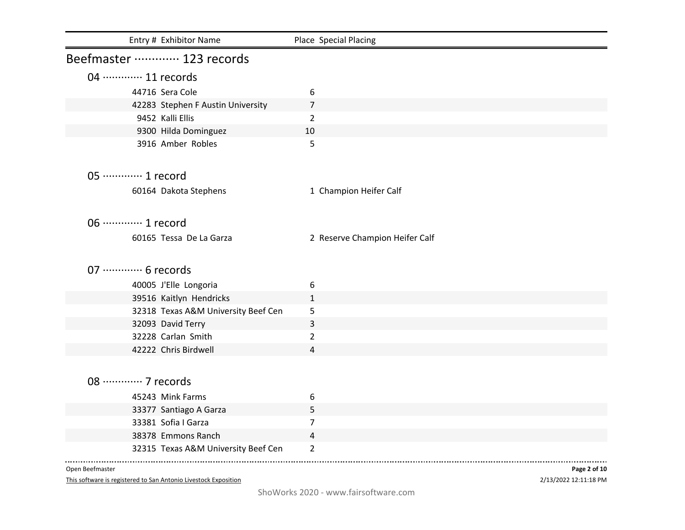| Entry # Exhibitor Name              | Place Special Placing          |
|-------------------------------------|--------------------------------|
| Beefmaster ………… 123 records         |                                |
| 04 ············· 11 records         |                                |
| 44716 Sera Cole                     | 6                              |
| 42283 Stephen F Austin University   | $\overline{7}$                 |
| 9452 Kalli Ellis                    | $\overline{2}$                 |
| 9300 Hilda Dominguez                | 10                             |
| 3916 Amber Robles                   | 5                              |
| 05 ············· 1 record           |                                |
| 60164 Dakota Stephens               | 1 Champion Heifer Calf         |
| 06 ············· 1 record           |                                |
| 60165 Tessa De La Garza             | 2 Reserve Champion Heifer Calf |
| 07 ············· 6 records          |                                |
| 40005 J'Elle Longoria               | 6                              |
| 39516 Kaitlyn Hendricks             | 1                              |
| 32318 Texas A&M University Beef Cen | 5                              |
| 32093 David Terry                   | 3                              |
| 32228 Carlan Smith                  | $\overline{2}$                 |
| 42222 Chris Birdwell                | 4                              |
|                                     |                                |
| 08 ············· 7 records          |                                |
| 45243 Mink Farms                    | 6                              |
| 33377 Santiago A Garza              | 5                              |
| 33381 Sofia I Garza                 | $\overline{7}$                 |
| 38378 Emmons Ranch                  | 4                              |
| 32315 Texas A&M University Beef Cen | $\overline{2}$                 |

Open Beefmaster

This software is registered to San Antonio Livestock Exposition

2/13/2022 12:11:18 PM **Page 2 of 10**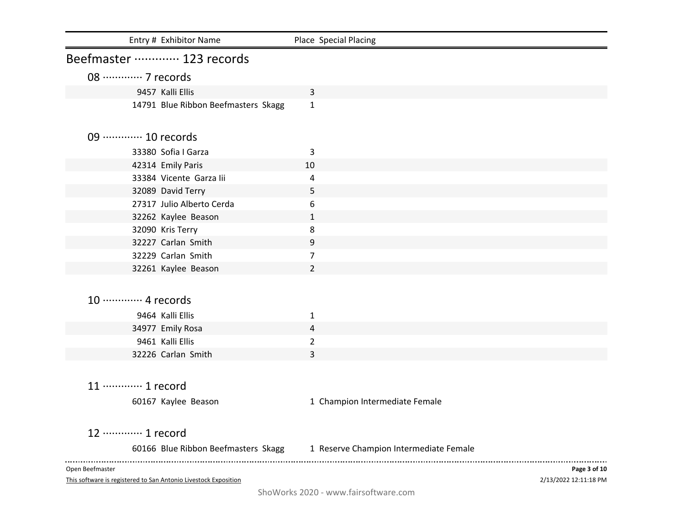| Entry # Exhibitor Name                                                             | Place Special Placing                                                      |                                       |
|------------------------------------------------------------------------------------|----------------------------------------------------------------------------|---------------------------------------|
| Beefmaster ………… 123 records                                                        |                                                                            |                                       |
| 08 ············· 7 records                                                         |                                                                            |                                       |
| 9457 Kalli Ellis                                                                   | 3                                                                          |                                       |
| 14791 Blue Ribbon Beefmasters Skagg                                                | 1                                                                          |                                       |
| 09  10 records                                                                     |                                                                            |                                       |
| 33380 Sofia I Garza                                                                | 3                                                                          |                                       |
| 42314 Emily Paris                                                                  | 10                                                                         |                                       |
| 33384 Vicente Garza lii                                                            | 4                                                                          |                                       |
| 32089 David Terry                                                                  | 5                                                                          |                                       |
| 27317 Julio Alberto Cerda                                                          | 6                                                                          |                                       |
| 32262 Kaylee Beason                                                                | $\mathbf{1}$                                                               |                                       |
| 32090 Kris Terry                                                                   | 8                                                                          |                                       |
| 32227 Carlan Smith                                                                 | 9                                                                          |                                       |
| 32229 Carlan Smith                                                                 | 7                                                                          |                                       |
| 32261 Kaylee Beason                                                                | $\overline{2}$                                                             |                                       |
| 10 ············· 4 records                                                         |                                                                            |                                       |
| 9464 Kalli Ellis                                                                   | 1                                                                          |                                       |
| 34977 Emily Rosa                                                                   | 4                                                                          |                                       |
| 9461 Kalli Ellis                                                                   | $\overline{2}$                                                             |                                       |
| 32226 Carlan Smith                                                                 | 3                                                                          |                                       |
| 11 ············· 1 record                                                          |                                                                            |                                       |
| 60167 Kaylee Beason                                                                | 1 Champion Intermediate Female                                             |                                       |
| 12 ………… 1 record                                                                   |                                                                            |                                       |
|                                                                                    | 60166 Blue Ribbon Beefmasters Skagg 1 Reserve Champion Intermediate Female |                                       |
| Open Beefmaster<br>This software is registered to San Antonio Livestock Exposition |                                                                            | Page 3 of 10<br>2/13/2022 12:11:18 PM |

ShoWorks 2020 - www.fairsoftware.com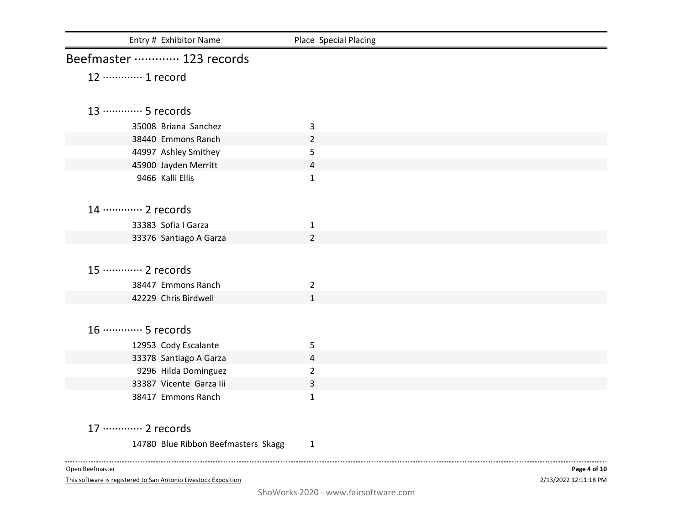| Entry # Exhibitor Name                                          | Place Special Placing |                       |
|-----------------------------------------------------------------|-----------------------|-----------------------|
| Beefmaster ………… 123 records                                     |                       |                       |
| 12 ………… 1 record                                                |                       |                       |
|                                                                 |                       |                       |
| 13 ………… 5 records                                               |                       |                       |
| 35008 Briana Sanchez                                            | 3                     |                       |
| 38440 Emmons Ranch                                              | 2                     |                       |
| 44997 Ashley Smithey                                            | 5                     |                       |
| 45900 Jayden Merritt                                            | 4                     |                       |
| 9466 Kalli Ellis                                                | $\mathbf{1}$          |                       |
|                                                                 |                       |                       |
| 14 ………… 2 records                                               |                       |                       |
| 33383 Sofia I Garza                                             | $\mathbf{1}$          |                       |
| 33376 Santiago A Garza                                          | 2                     |                       |
| 15 ············· 2 records                                      |                       |                       |
|                                                                 |                       |                       |
| 38447 Emmons Ranch                                              | 2                     |                       |
| 42229 Chris Birdwell                                            | $\mathbf{1}$          |                       |
| 16 ………… 5 records                                               |                       |                       |
| 12953 Cody Escalante                                            | 5                     |                       |
| 33378 Santiago A Garza                                          | 4                     |                       |
| 9296 Hilda Dominguez                                            | $\overline{2}$        |                       |
| 33387 Vicente Garza lii                                         | 3                     |                       |
| 38417 Emmons Ranch                                              | $\mathbf 1$           |                       |
|                                                                 |                       |                       |
| 17 ………… 2 records                                               |                       |                       |
| 14780 Blue Ribbon Beefmasters Skagg                             | 1                     |                       |
| Open Beefmaster                                                 |                       | Page 4 of 10          |
| This software is registered to San Antonio Livestock Exposition |                       | 2/13/2022 12:11:18 PM |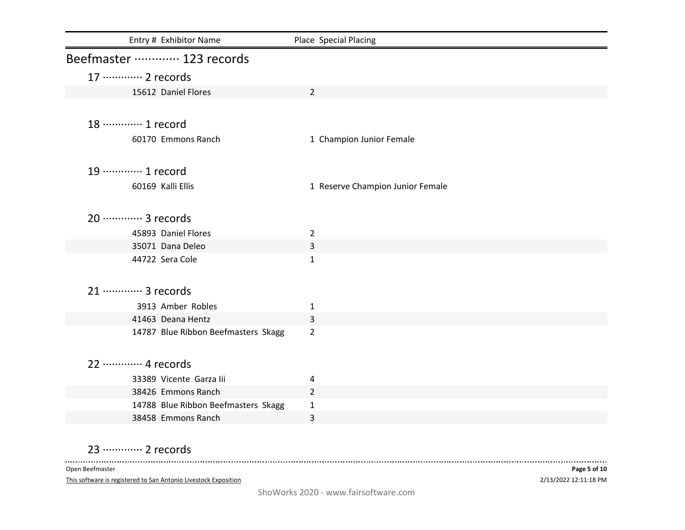| Entry # Exhibitor Name              | Place Special Placing            |
|-------------------------------------|----------------------------------|
| Beefmaster ………… 123 records         |                                  |
| 17 ············· 2 records          |                                  |
| 15612 Daniel Flores                 | $\overline{2}$                   |
|                                     |                                  |
| 18 ………… 1 record                    |                                  |
| 60170 Emmons Ranch                  | 1 Champion Junior Female         |
|                                     |                                  |
| 19 ·············· 1 record          |                                  |
| 60169 Kalli Ellis                   | 1 Reserve Champion Junior Female |
|                                     |                                  |
| 20 ············· 3 records          |                                  |
| 45893 Daniel Flores                 | $\overline{2}$                   |
| 35071 Dana Deleo                    | 3                                |
| 44722 Sera Cole                     | $\mathbf{1}$                     |
|                                     |                                  |
| 21 ………… 3 records                   |                                  |
| 3913 Amber Robles                   | 1                                |
| 41463 Deana Hentz                   | 3                                |
| 14787 Blue Ribbon Beefmasters Skagg | $\overline{2}$                   |
|                                     |                                  |
| 22 ………… 4 records                   |                                  |
| 33389 Vicente Garza lii             | 4                                |
| 38426 Emmons Ranch                  | $\overline{2}$                   |
| 14788 Blue Ribbon Beefmasters Skagg | $\mathbf{1}$                     |
| 38458 Emmons Ranch                  | 3                                |

23 ·············· 2 records

Open Beefmaster

This software is registered to San Antonio Livestock Exposition

. . . . . . .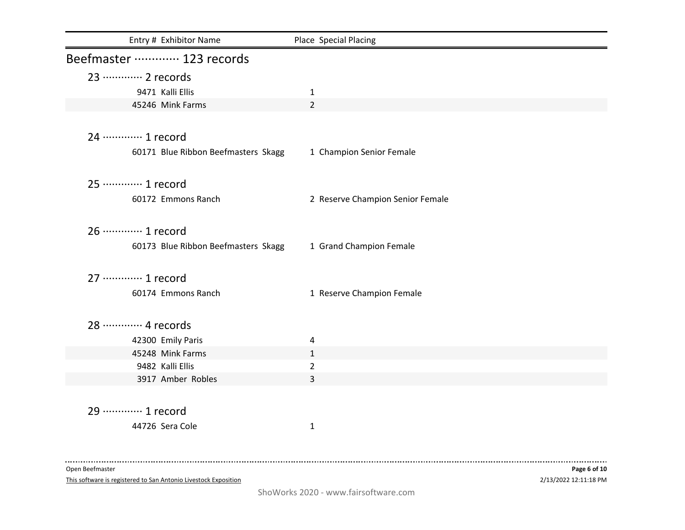| Entry # Exhibitor Name              | Place Special Placing            |
|-------------------------------------|----------------------------------|
| Beefmaster ………… 123 records         |                                  |
| 23 ………… 2 records                   |                                  |
| 9471 Kalli Ellis                    | $\mathbf{1}$                     |
| 45246 Mink Farms                    | $\overline{2}$                   |
| 24 ………… 1 record                    |                                  |
| 60171 Blue Ribbon Beefmasters Skagg | 1 Champion Senior Female         |
| 25 ………… 1 record                    |                                  |
| 60172 Emmons Ranch                  | 2 Reserve Champion Senior Female |
| 26 ············· 1 record           |                                  |
| 60173 Blue Ribbon Beefmasters Skagg | 1 Grand Champion Female          |
| 27 ………… 1 record                    |                                  |
| 60174 Emmons Ranch                  | 1 Reserve Champion Female        |
| 28 ………… 4 records                   |                                  |
| 42300 Emily Paris                   | 4                                |
| 45248 Mink Farms                    | 1                                |
| 9482 Kalli Ellis                    | $\overline{a}$                   |
| 3917 Amber Robles                   | 3                                |
| 29 ………… 1 record                    |                                  |
| 44726 Sera Cole                     | $\mathbf{1}$                     |
|                                     |                                  |
| Open Beefmaster                     | Page 6 of 10                     |

This software is registered to San Antonio Livestock Exposition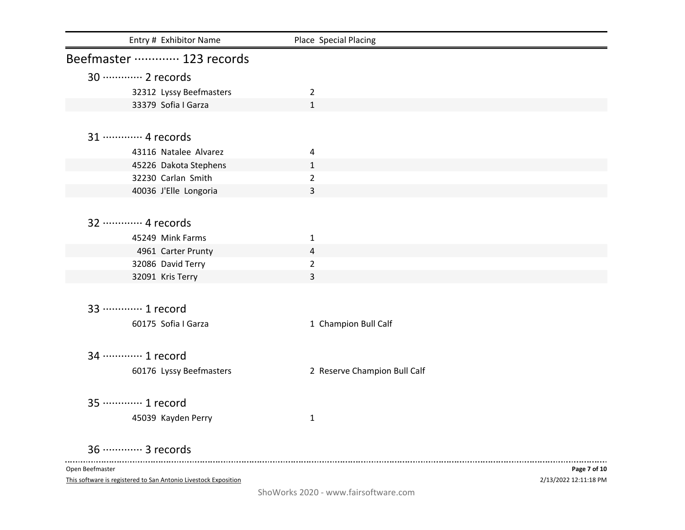| Entry # Exhibitor Name                                          | Place Special Placing        |                       |
|-----------------------------------------------------------------|------------------------------|-----------------------|
| Beefmaster ………… 123 records                                     |                              |                       |
| 30 ············· 2 records                                      |                              |                       |
| 32312 Lyssy Beefmasters                                         | $\overline{2}$               |                       |
| 33379 Sofia I Garza                                             | $\mathbf{1}$                 |                       |
|                                                                 |                              |                       |
| 31 ………… 4 records                                               |                              |                       |
| 43116 Natalee Alvarez                                           | 4                            |                       |
| 45226 Dakota Stephens                                           | $\mathbf{1}$                 |                       |
| 32230 Carlan Smith                                              | $\overline{2}$               |                       |
| 40036 J'Elle Longoria                                           | 3                            |                       |
|                                                                 |                              |                       |
| 32 ………… 4 records                                               |                              |                       |
| 45249 Mink Farms                                                | 1                            |                       |
| 4961 Carter Prunty                                              | 4                            |                       |
| 32086 David Terry                                               | $\overline{2}$               |                       |
| 32091 Kris Terry                                                | 3                            |                       |
|                                                                 |                              |                       |
| 33 ………… 1 record                                                |                              |                       |
| 60175 Sofia I Garza                                             | 1 Champion Bull Calf         |                       |
|                                                                 |                              |                       |
| 34 ………… 1 record                                                |                              |                       |
| 60176 Lyssy Beefmasters                                         | 2 Reserve Champion Bull Calf |                       |
|                                                                 |                              |                       |
| 35 ………… 1 record                                                |                              |                       |
|                                                                 |                              |                       |
| 45039 Kayden Perry                                              | $\mathbf{1}$                 |                       |
| 36 ············· 3 records                                      |                              |                       |
| Open Beefmaster                                                 |                              | Page 7 of 10          |
| This software is registered to San Antonio Livestock Exposition |                              | 2/13/2022 12:11:18 PM |

ShoWorks 2020 - www.fairsoftware.com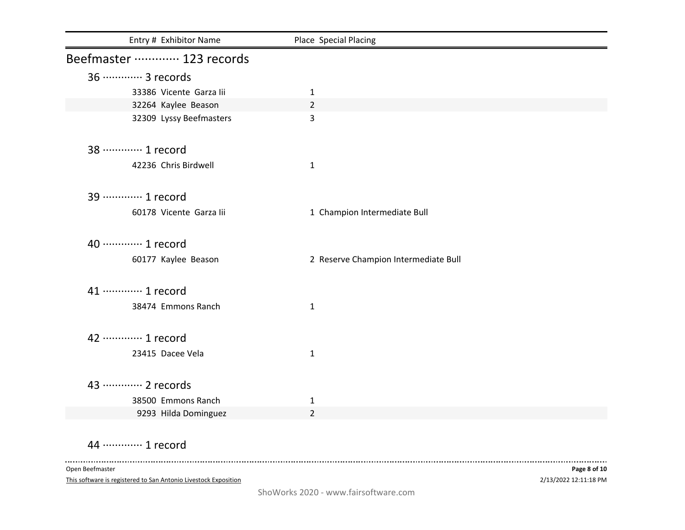| Entry # Exhibitor Name      | Place Special Placing                |
|-----------------------------|--------------------------------------|
| Beefmaster ………… 123 records |                                      |
| 36  3 records               |                                      |
| 33386 Vicente Garza lii     | $\mathbf{1}$                         |
| 32264 Kaylee Beason         | $\overline{2}$                       |
| 32309 Lyssy Beefmasters     | 3                                    |
| 38 ………… 1 record            |                                      |
| 42236 Chris Birdwell        | $\mathbf{1}$                         |
| 39 ………… 1 record            |                                      |
| 60178 Vicente Garza lii     | 1 Champion Intermediate Bull         |
| 40 ············· 1 record   |                                      |
| 60177 Kaylee Beason         | 2 Reserve Champion Intermediate Bull |
| 41 ………… 1 record            |                                      |
| 38474 Emmons Ranch          | $\mathbf{1}$                         |
| 42 ………… 1 record            |                                      |
| 23415 Dacee Vela            | 1                                    |
| 43 ………… 2 records           |                                      |
| 38500 Emmons Ranch          | 1                                    |
| 9293 Hilda Dominguez        | $\overline{2}$                       |

44 ·············· 1 record

Open Beefmaster

This software is registered to San Antonio Livestock Exposition

2/13/2022 12:11:18 PM **Page 8 of 10**

-------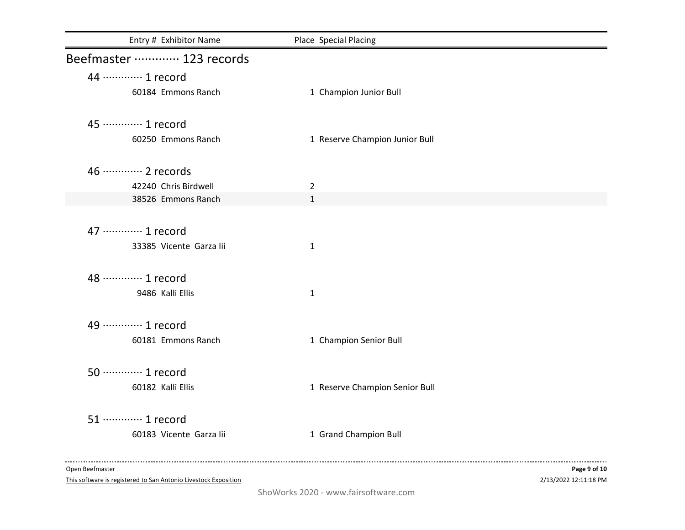| Entry # Exhibitor Name      | Place Special Placing          |              |
|-----------------------------|--------------------------------|--------------|
| Beefmaster ………… 123 records |                                |              |
| 44 ………… 1 record            |                                |              |
| 60184 Emmons Ranch          | 1 Champion Junior Bull         |              |
| 45 ………… 1 record            |                                |              |
| 60250 Emmons Ranch          | 1 Reserve Champion Junior Bull |              |
| 46 ············· 2 records  |                                |              |
| 42240 Chris Birdwell        | $\overline{2}$                 |              |
| 38526 Emmons Ranch          | $\mathbf{1}$                   |              |
| 47 ………… 1 record            |                                |              |
| 33385 Vicente Garza lii     | $\mathbf{1}$                   |              |
| 48 ………… 1 record            |                                |              |
| 9486 Kalli Ellis            | $\mathbf{1}$                   |              |
| 49 ·············· 1 record  |                                |              |
| 60181 Emmons Ranch          | 1 Champion Senior Bull         |              |
| 50 ············· 1 record   |                                |              |
| 60182 Kalli Ellis           | 1 Reserve Champion Senior Bull |              |
| 51 ············· 1 record   |                                |              |
| 60183 Vicente Garza lii     | 1 Grand Champion Bull          |              |
| Open Beefmaster             |                                | Page 9 of 10 |

This software is registered to San Antonio Livestock Exposition